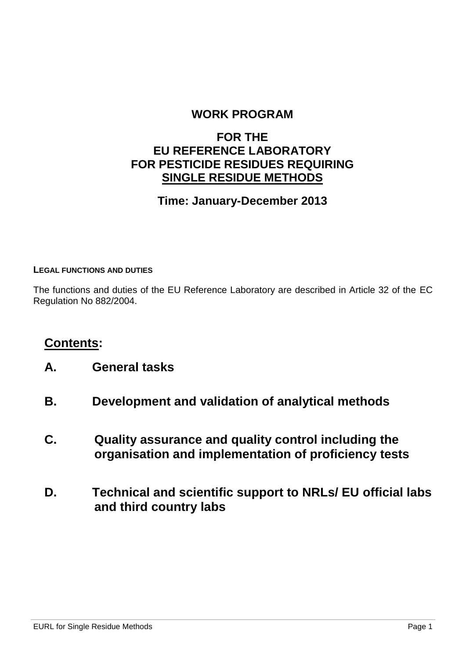### **WORK PROGRAM**

### **FOR THE EU REFERENCE LABORATORY FOR PESTICIDE RESIDUES REQUIRING SINGLE RESIDUE METHODS**

### **Time: January-December 2013**

#### **LEGAL FUNCTIONS AND DUTIES**

The functions and duties of the EU Reference Laboratory are described in Article 32 of the EC Regulation No 882/2004.

### **Contents:**

- **A. General tasks**
- **B. Development and validation of analytical methods**
- **C. Quality assurance and quality control including the organisation and implementation of proficiency tests**
- **D. Technical and scientific support to NRLs/ EU official labs and third country labs**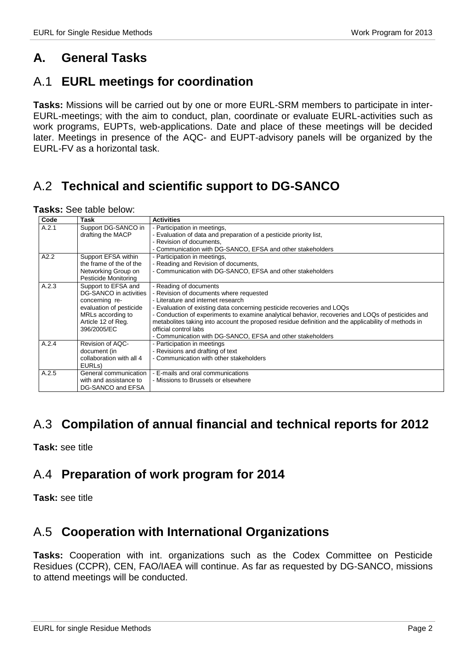# **A. General Tasks**

# A.1 **EURL meetings for coordination**

**Tasks:** Missions will be carried out by one or more EURL-SRM members to participate in inter-EURL-meetings; with the aim to conduct, plan, coordinate or evaluate EURL-activities such as work programs, EUPTs, web-applications. Date and place of these meetings will be decided later. Meetings in presence of the AQC- and EUPT-advisory panels will be organized by the EURL-FV as a horizontal task.

# A.2 **Technical and scientific support to DG-SANCO**

| Tasks: See table below: |
|-------------------------|
|-------------------------|

| Code  | Task                     | <b>Activities</b>                                                                                   |
|-------|--------------------------|-----------------------------------------------------------------------------------------------------|
| A.2.1 | Support DG-SANCO in      | - Participation in meetings,                                                                        |
|       | drafting the MACP        | - Evaluation of data and preparation of a pesticide priority list,                                  |
|       |                          | - Revision of documents,                                                                            |
|       |                          | - Communication with DG-SANCO, EFSA and other stakeholders                                          |
| A2.2  | Support EFSA within      | - Participation in meetings,                                                                        |
|       | the frame of the of the  | - Reading and Revision of documents,                                                                |
|       | Networking Group on      | - Communication with DG-SANCO, EFSA and other stakeholders                                          |
|       | Pesticide Monitoring     |                                                                                                     |
| A.2.3 | Support to EFSA and      | - Reading of documents                                                                              |
|       | DG-SANCO in activities   | - Revision of documents where requested                                                             |
|       | concerning re-           | - Literature and internet research                                                                  |
|       | evaluation of pesticide  | - Evaluation of existing data concerning pesticide recoveries and LOQs                              |
|       | MRLs according to        | - Conduction of experiments to examine analytical behavior, recoveries and LOQs of pesticides and   |
|       | Article 12 of Reg.       | metabolites taking into account the proposed residue definition and the applicability of methods in |
|       | 396/2005/EC              | official control labs                                                                               |
|       |                          | - Communication with DG-SANCO, EFSA and other stakeholders                                          |
| A.2.4 | Revision of AQC-         | - Participation in meetings                                                                         |
|       | document (in             | - Revisions and drafting of text                                                                    |
|       | collaboration with all 4 | - Communication with other stakeholders                                                             |
|       | EURL <sub>s</sub> )      |                                                                                                     |
| A.2.5 | General communication    | - E-mails and oral communications                                                                   |
|       | with and assistance to   | - Missions to Brussels or elsewhere                                                                 |
|       | DG-SANCO and EFSA        |                                                                                                     |

### A.3 **Compilation of annual financial and technical reports for 2012**

**Task:** see title

# A.4 **Preparation of work program for 2014**

**Task:** see title

# A.5 **Cooperation with International Organizations**

**Tasks:** Cooperation with int. organizations such as the Codex Committee on Pesticide Residues (CCPR), CEN, FAO/IAEA will continue. As far as requested by DG-SANCO, missions to attend meetings will be conducted.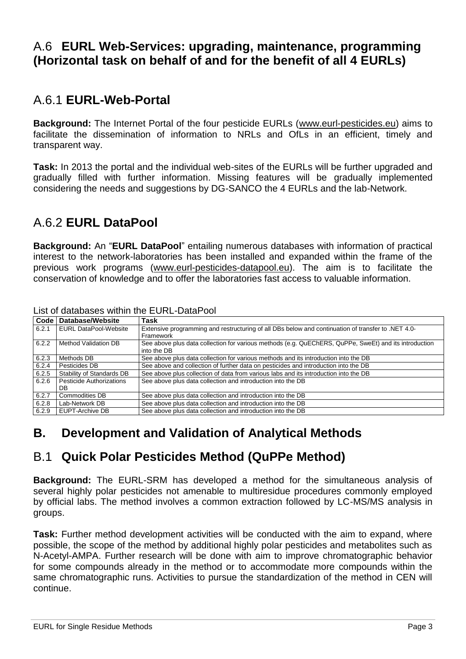# A.6 **EURL Web-Services: upgrading, maintenance, programming (Horizontal task on behalf of and for the benefit of all 4 EURLs)**

# A.6.1 **EURL-Web-Portal**

**Background:** The Internet Portal of the four pesticide EURLs [\(www.eurl-pesticides.eu\)](http://www.eurl-pesticides.eu/) aims to facilitate the dissemination of information to NRLs and OfLs in an efficient, timely and transparent way.

**Task:** In 2013 the portal and the individual web-sites of the EURLs will be further upgraded and gradually filled with further information. Missing features will be gradually implemented considering the needs and suggestions by DG-SANCO the 4 EURLs and the lab-Network.

# A.6.2 **EURL DataPool**

**Background:** An "**EURL DataPool**" entailing numerous databases with information of practical interest to the network-laboratories has been installed and expanded within the frame of the previous work programs [\(www.eurl-pesticides-datapool.eu\)](http://www.eurl-pesticides-datapool.eu/). The aim is to facilitate the conservation of knowledge and to offer the laboratories fast access to valuable information.

| Code  | <b>Database/Website</b>      | <b>Task</b>                                                                                                          |
|-------|------------------------------|----------------------------------------------------------------------------------------------------------------------|
| 6.2.1 | <b>EURL DataPool-Website</b> | Extensive programming and restructuring of all DBs below and continuation of transfer to .NET 4.0-<br>Framework      |
| 6.2.2 | <b>Method Validation DB</b>  | See above plus data collection for various methods (e.g. QuEChERS, QuPPe, SweEt) and its introduction<br>into the DB |
| 6.2.3 | Methods DB                   | See above plus data collection for various methods and its introduction into the DB                                  |
| 6.2.4 | Pesticides DB                | See above and collection of further data on pesticides and introduction into the DB                                  |
| 6.2.5 | Stability of Standards DB    | See above plus collection of data from various labs and its introduction into the DB                                 |
| 6.2.6 | Pesticide Authorizations     | See above plus data collection and introduction into the DB                                                          |
|       | DB.                          |                                                                                                                      |
| 6.2.7 | <b>Commodities DB</b>        | See above plus data collection and introduction into the DB                                                          |
| 6.2.8 | Lab-Network DB               | See above plus data collection and introduction into the DB                                                          |
| 6.2.9 | EUPT-Archive DB              | See above plus data collection and introduction into the DB                                                          |

#### List of databases within the EURL-DataPool

# **B. Development and Validation of Analytical Methods**

# B.1 **Quick Polar Pesticides Method (QuPPe Method)**

**Background:** The EURL-SRM has developed a method for the simultaneous analysis of several highly polar pesticides not amenable to multiresidue procedures commonly employed by official labs. The method involves a common extraction followed by LC-MS/MS analysis in groups.

**Task:** Further method development activities will be conducted with the aim to expand, where possible, the scope of the method by additional highly polar pesticides and metabolites such as N-Acetyl-AMPA. Further research will be done with aim to improve chromatographic behavior for some compounds already in the method or to accommodate more compounds within the same chromatographic runs. Activities to pursue the standardization of the method in CEN will continue.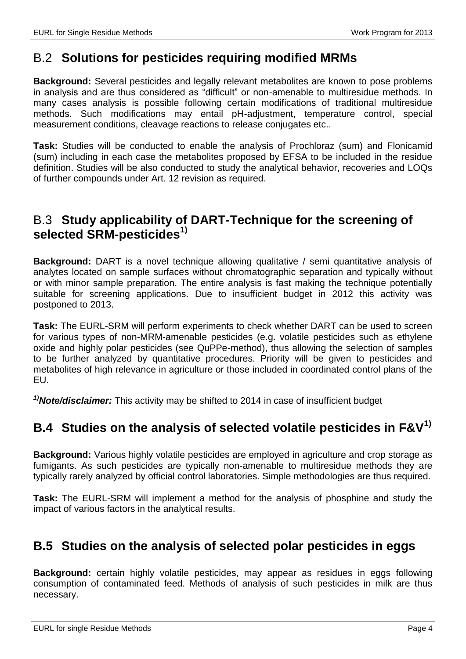### B.2 **Solutions for pesticides requiring modified MRMs**

**Background:** Several pesticides and legally relevant metabolites are known to pose problems in analysis and are thus considered as "difficult" or non-amenable to multiresidue methods. In many cases analysis is possible following certain modifications of traditional multiresidue methods. Such modifications may entail pH-adjustment, temperature control, special measurement conditions, cleavage reactions to release conjugates etc..

**Task:** Studies will be conducted to enable the analysis of Prochloraz (sum) and Flonicamid (sum) including in each case the metabolites proposed by EFSA to be included in the residue definition. Studies will be also conducted to study the analytical behavior, recoveries and LOQs of further compounds under Art. 12 revision as required.

# B.3 **Study applicability of DART-Technique for the screening of selected SRM-pesticides1)**

**Background:** DART is a novel technique allowing qualitative / semi quantitative analysis of analytes located on sample surfaces without chromatographic separation and typically without or with minor sample preparation. The entire analysis is fast making the technique potentially suitable for screening applications. Due to insufficient budget in 2012 this activity was postponed to 2013.

**Task:** The EURL-SRM will perform experiments to check whether DART can be used to screen for various types of non-MRM-amenable pesticides (e.g. volatile pesticides such as ethylene oxide and highly polar pesticides (see QuPPe-method), thus allowing the selection of samples to be further analyzed by quantitative procedures. Priority will be given to pesticides and metabolites of high relevance in agriculture or those included in coordinated control plans of the EU.

*1)Note/disclaimer:* This activity may be shifted to 2014 in case of insufficient budget

# **B.4 Studies on the analysis of selected volatile pesticides in F&V1)**

**Background:** Various highly volatile pesticides are employed in agriculture and crop storage as fumigants. As such pesticides are typically non-amenable to multiresidue methods they are typically rarely analyzed by official control laboratories. Simple methodologies are thus required.

**Task:** The EURL-SRM will implement a method for the analysis of phosphine and study the impact of various factors in the analytical results.

# **B.5 Studies on the analysis of selected polar pesticides in eggs**

**Background:** certain highly volatile pesticides, may appear as residues in eggs following consumption of contaminated feed. Methods of analysis of such pesticides in milk are thus necessary.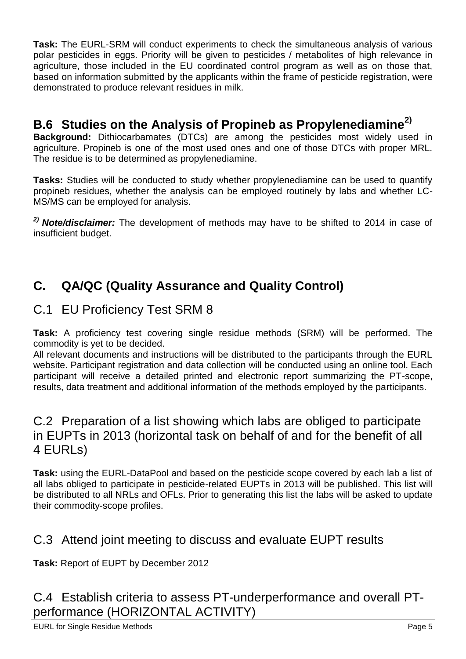**Task:** The EURL-SRM will conduct experiments to check the simultaneous analysis of various polar pesticides in eggs. Priority will be given to pesticides / metabolites of high relevance in agriculture, those included in the EU coordinated control program as well as on those that, based on information submitted by the applicants within the frame of pesticide registration, were demonstrated to produce relevant residues in milk.

# **B.6 Studies on the Analysis of Propineb as Propylenediamine2)**

**Background:** Dithiocarbamates (DTCs) are among the pesticides most widely used in agriculture. Propineb is one of the most used ones and one of those DTCs with proper MRL. The residue is to be determined as propylenediamine.

**Tasks:** Studies will be conducted to study whether propylenediamine can be used to quantify propineb residues, whether the analysis can be employed routinely by labs and whether LC-MS/MS can be employed for analysis.

*2) Note/disclaimer:* The development of methods may have to be shifted to 2014 in case of insufficient budget.

# **C. QA/QC (Quality Assurance and Quality Control)**

# C.1 EU Proficiency Test SRM 8

**Task:** A proficiency test covering single residue methods (SRM) will be performed. The commodity is yet to be decided.

All relevant documents and instructions will be distributed to the participants through the EURL website. Participant registration and data collection will be conducted using an online tool. Each participant will receive a detailed printed and electronic report summarizing the PT-scope, results, data treatment and additional information of the methods employed by the participants.

### C.2 Preparation of a list showing which labs are obliged to participate in EUPTs in 2013 (horizontal task on behalf of and for the benefit of all 4 EURLs)

**Task:** using the EURL-DataPool and based on the pesticide scope covered by each lab a list of all labs obliged to participate in pesticide-related EUPTs in 2013 will be published. This list will be distributed to all NRLs and OFLs. Prior to generating this list the labs will be asked to update their commodity-scope profiles.

# C.3 Attend joint meeting to discuss and evaluate EUPT results

**Task:** Report of EUPT by December 2012

# C.4 Establish criteria to assess PT-underperformance and overall PTperformance (HORIZONTAL ACTIVITY)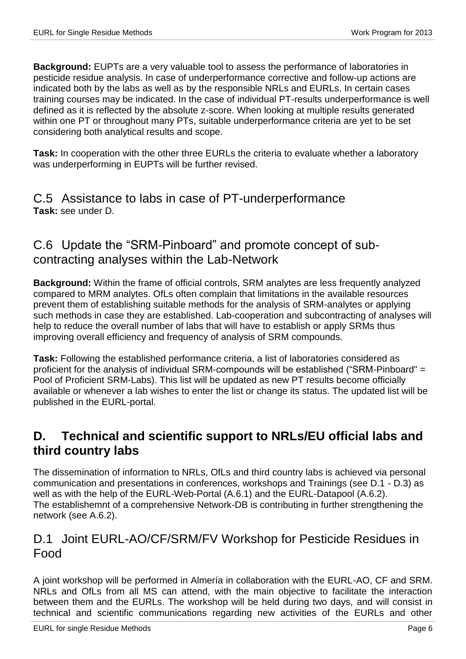**Background:** EUPTs are a very valuable tool to assess the performance of laboratories in pesticide residue analysis. In case of underperformance corrective and follow-up actions are indicated both by the labs as well as by the responsible NRLs and EURLs. In certain cases training courses may be indicated. In the case of individual PT-results underperformance is well defined as it is reflected by the absolute z-score. When looking at multiple results generated within one PT or throughout many PTs, suitable underperformance criteria are yet to be set considering both analytical results and scope.

**Task:** In cooperation with the other three EURLs the criteria to evaluate whether a laboratory was underperforming in EUPTs will be further revised.

### C.5 Assistance to labs in case of PT-underperformance **Task:** see under D.

### C.6 Update the "SRM-Pinboard" and promote concept of subcontracting analyses within the Lab-Network

**Background:** Within the frame of official controls, SRM analytes are less frequently analyzed compared to MRM analytes. OfLs often complain that limitations in the available resources prevent them of establishing suitable methods for the analysis of SRM-analytes or applying such methods in case they are established. Lab-cooperation and subcontracting of analyses will help to reduce the overall number of labs that will have to establish or apply SRMs thus improving overall efficiency and frequency of analysis of SRM compounds.

**Task:** Following the established performance criteria, a list of laboratories considered as proficient for the analysis of individual SRM-compounds will be established ("SRM-Pinboard" = Pool of Proficient SRM-Labs). This list will be updated as new PT results become officially available or whenever a lab wishes to enter the list or change its status. The updated list will be published in the EURL-portal.

### **D. Technical and scientific support to NRLs/EU official labs and third country labs**

The dissemination of information to NRLs, OfLs and third country labs is achieved via personal communication and presentations in conferences, workshops and Trainings (see D.1 - D.3) as well as with the help of the EURL-Web-Portal (A.6.1) and the EURL-Datapool (A.6.2). The establishemnt of a comprehensive Network-DB is contributing in further strengthening the network (see A.6.2).

### D.1 Joint EURL-AO/CF/SRM/FV Workshop for Pesticide Residues in Food

A joint workshop will be performed in Almería in collaboration with the EURL-AO, CF and SRM. NRLs and OfLs from all MS can attend, with the main objective to facilitate the interaction between them and the EURLs. The workshop will be held during two days, and will consist in technical and scientific communications regarding new activities of the EURLs and other